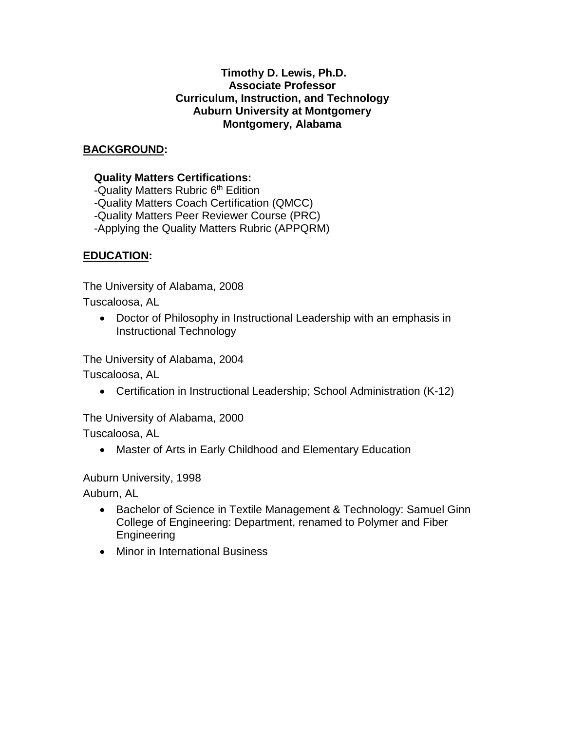#### **Timothy D. Lewis, Ph.D. Associate Professor Curriculum, Instruction, and Technology Auburn University at Montgomery Montgomery, Alabama**

## **BACKGROUND:**

### **Quality Matters Certifications:**

-Quality Matters Rubric 6<sup>th</sup> Edition -Quality Matters Coach Certification (QMCC) -Quality Matters Peer Reviewer Course (PRC) -Applying the Quality Matters Rubric (APPQRM)

### **EDUCATION:**

The University of Alabama, 2008

Tuscaloosa, AL

• Doctor of Philosophy in Instructional Leadership with an emphasis in Instructional Technology

The University of Alabama, 2004

Tuscaloosa, AL

• Certification in Instructional Leadership; School Administration (K-12)

The University of Alabama, 2000

Tuscaloosa, AL

• Master of Arts in Early Childhood and Elementary Education

Auburn University, 1998

Auburn, AL

- Bachelor of Science in Textile Management & Technology: Samuel Ginn College of Engineering: Department, renamed to Polymer and Fiber Engineering
- Minor in International Business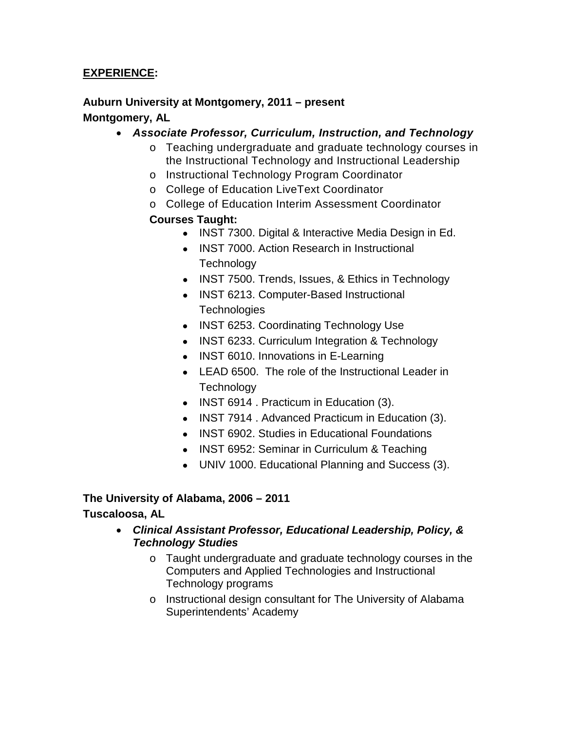### **EXPERIENCE:**

## **Auburn University at Montgomery, 2011 – present**

### **Montgomery, AL**

- *Associate Professor, Curriculum, Instruction, and Technology*
	- o Teaching undergraduate and graduate technology courses in the Instructional Technology and Instructional Leadership
	- o Instructional Technology Program Coordinator
	- o College of Education LiveText Coordinator
	- o College of Education Interim Assessment Coordinator

# **Courses Taught:**

- INST 7300. Digital & Interactive Media Design in Ed.
- INST 7000. Action Research in Instructional **Technology**
- INST 7500. Trends, Issues, & Ethics in Technology
- INST 6213. Computer-Based Instructional **Technologies**
- INST 6253. Coordinating Technology Use
- INST 6233. Curriculum Integration & Technology
- INST 6010. Innovations in E-Learning
- LEAD 6500. The role of the Instructional Leader in **Technology**
- INST 6914 . Practicum in Education (3).
- INST 7914 . Advanced Practicum in Education (3).
- INST 6902. Studies in Educational Foundations
- INST 6952: Seminar in Curriculum & Teaching
- UNIV 1000. Educational Planning and Success (3).

# **The University of Alabama, 2006 – 2011**

# **Tuscaloosa, AL**

- *Clinical Assistant Professor, Educational Leadership, Policy, & Technology Studies*
	- o Taught undergraduate and graduate technology courses in the Computers and Applied Technologies and Instructional Technology programs
	- o Instructional design consultant for The University of Alabama Superintendents' Academy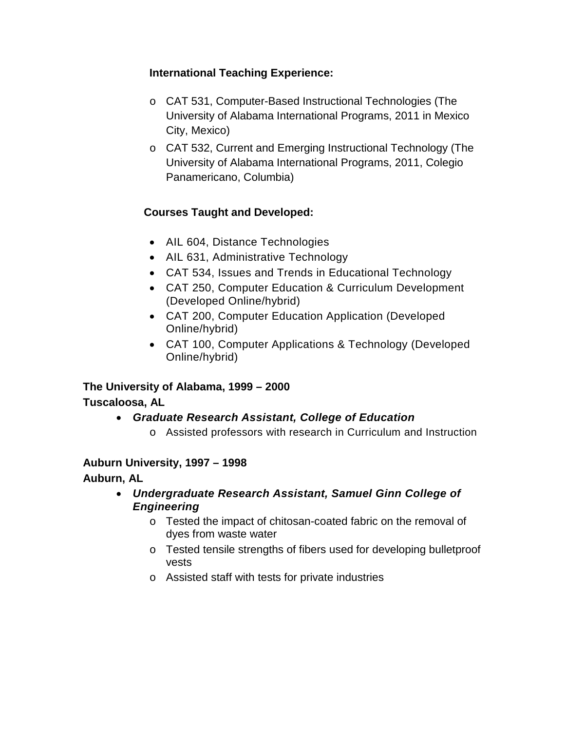# **International Teaching Experience:**

- o CAT 531, Computer-Based Instructional Technologies (The University of Alabama International Programs, 2011 in Mexico City, Mexico)
- o CAT 532, Current and Emerging Instructional Technology (The University of Alabama International Programs, 2011, Colegio Panamericano, Columbia)

# **Courses Taught and Developed:**

- AIL 604, Distance Technologies
- AIL 631, Administrative Technology
- CAT 534, Issues and Trends in Educational Technology
- CAT 250, Computer Education & Curriculum Development (Developed Online/hybrid)
- CAT 200, Computer Education Application (Developed Online/hybrid)
- CAT 100, Computer Applications & Technology (Developed Online/hybrid)

**The University of Alabama, 1999 – 2000**

### **Tuscaloosa, AL**

- *Graduate Research Assistant, College of Education*
	- o Assisted professors with research in Curriculum and Instruction

### **Auburn University, 1997 – 1998**

**Auburn, AL**

- *Undergraduate Research Assistant, Samuel Ginn College of Engineering*
	- o Tested the impact of chitosan-coated fabric on the removal of dyes from waste water
	- o Tested tensile strengths of fibers used for developing bulletproof vests
	- o Assisted staff with tests for private industries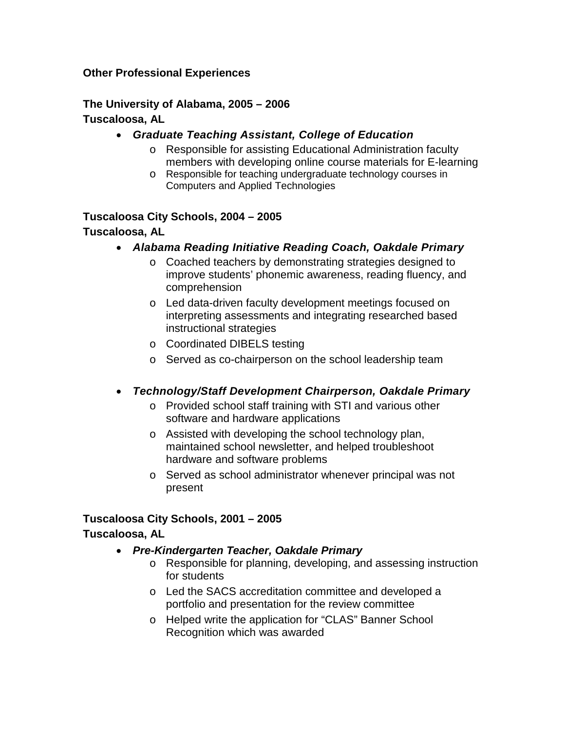#### **Other Professional Experiences**

#### **The University of Alabama, 2005 – 2006 Tuscaloosa, AL**

#### • *Graduate Teaching Assistant, College of Education*

- o Responsible for assisting Educational Administration faculty members with developing online course materials for E-learning
- o Responsible for teaching undergraduate technology courses in Computers and Applied Technologies

#### **Tuscaloosa City Schools, 2004 – 2005**

#### **Tuscaloosa, AL**

- *Alabama Reading Initiative Reading Coach, Oakdale Primary*
	- o Coached teachers by demonstrating strategies designed to improve students' phonemic awareness, reading fluency, and comprehension
	- o Led data-driven faculty development meetings focused on interpreting assessments and integrating researched based instructional strategies
	- o Coordinated DIBELS testing
	- o Served as co-chairperson on the school leadership team
- *Technology/Staff Development Chairperson, Oakdale Primary*
	- o Provided school staff training with STI and various other software and hardware applications
	- o Assisted with developing the school technology plan, maintained school newsletter, and helped troubleshoot hardware and software problems
	- o Served as school administrator whenever principal was not present

#### **Tuscaloosa City Schools, 2001 – 2005**

#### **Tuscaloosa, AL**

- *Pre-Kindergarten Teacher, Oakdale Primary*
	- o Responsible for planning, developing, and assessing instruction for students
	- o Led the SACS accreditation committee and developed a portfolio and presentation for the review committee
	- o Helped write the application for "CLAS" Banner School Recognition which was awarded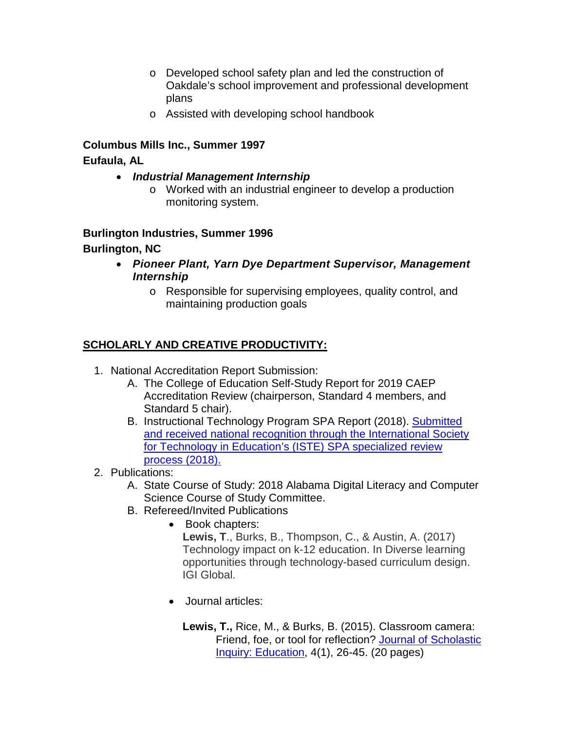- o Developed school safety plan and led the construction of Oakdale's school improvement and professional development plans
- o Assisted with developing school handbook

# **Columbus Mills Inc., Summer 1997 Eufaula, AL**

- *Industrial Management Internship*
	- o Worked with an industrial engineer to develop a production monitoring system.

### **Burlington Industries, Summer 1996**

# **Burlington, NC**

- *Pioneer Plant, Yarn Dye Department Supervisor, Management Internship*
	- o Responsible for supervising employees, quality control, and maintaining production goals

# **SCHOLARLY AND CREATIVE PRODUCTIVITY:**

- 1. National Accreditation Report Submission:
	- A. The College of Education Self-Study Report for 2019 CAEP Accreditation Review (chairperson, Standard 4 members, and Standard 5 chair).
	- B. Instructional Technology Program SPA Report (2018). [Submitted](http://caepnet.org/provider-search?state=AL&program=ISTE&tab=program#progresults)  [and received national recognition through the International Society](http://caepnet.org/provider-search?state=AL&program=ISTE&tab=program#progresults)  [for Technology in Education's](http://caepnet.org/provider-search?state=AL&program=ISTE&tab=program#progresults) (ISTE) SPA specialized review [process \(2018\).](http://caepnet.org/provider-search?state=AL&program=ISTE&tab=program#progresults)
- 2. Publications:
	- A. State Course of Study: 2018 Alabama Digital Literacy and Computer Science Course of Study Committee.
	- B. Refereed/Invited Publications
		- Book chapters: **Lewis, T**., Burks, B., Thompson, C., & Austin, A. (2017) Technology impact on k-12 education. In Diverse learning opportunities through technology-based curriculum design. IGI Global.
		- Journal articles:

**Lewis, T.,** Rice, M., & Burks, B. (2015). Classroom camera: Friend, foe, or tool for reflection? [Journal of Scholastic](http://www.csiresearch.com/JOSI-E-Spring2015.html)  [Inquiry: Education,](http://www.csiresearch.com/JOSI-E-Spring2015.html) 4(1), 26-45. (20 pages)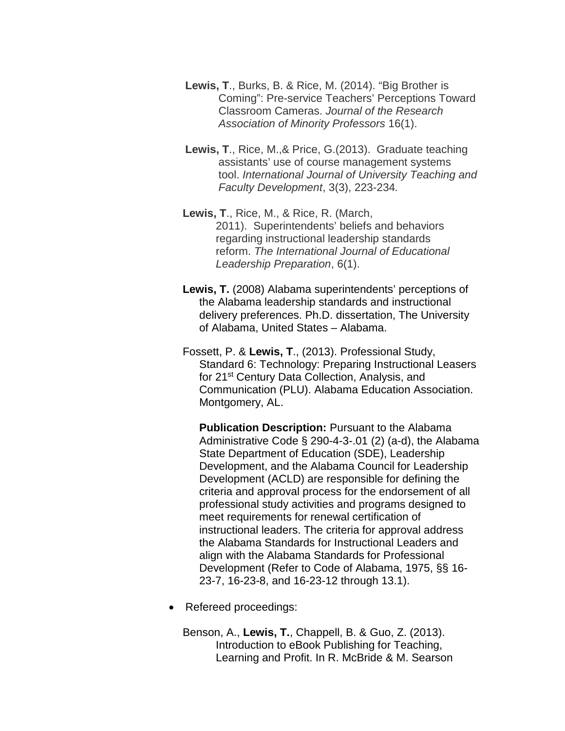- **Lewis, T**., Burks, B. & Rice, M. (2014). "Big Brother is Coming": Pre-service Teachers' Perceptions Toward Classroom Cameras. *Journal of the Research Association of Minority Professors* 16(1).
- **Lewis, T**., Rice, M.,& Price, G.(2013). Graduate teaching assistants' use of course management systems tool. *International Journal of University Teaching and Faculty Development*, 3(3), 223-234*.*
- **Lewis, T**., Rice, M., & Rice, R. (March, 2011). Superintendents' beliefs and behaviors regarding instructional leadership standards reform. *The International Journal of Educational Leadership Preparation*, 6(1).
- **Lewis, T.** (2008) Alabama superintendents' perceptions of the Alabama leadership standards and instructional delivery preferences. Ph.D. dissertation, The University of Alabama, United States – Alabama.
- Fossett, P. & **Lewis, T**., (2013). Professional Study, Standard 6: Technology: Preparing Instructional Leasers for 21st Century Data Collection, Analysis, and Communication (PLU). Alabama Education Association. Montgomery, AL.

**Publication Description:** Pursuant to the Alabama Administrative Code § 290-4-3-.01 (2) (a-d), the Alabama State Department of Education (SDE), Leadership Development, and the Alabama Council for Leadership Development (ACLD) are responsible for defining the criteria and approval process for the endorsement of all professional study activities and programs designed to meet requirements for renewal certification of instructional leaders. The criteria for approval address the Alabama Standards for Instructional Leaders and align with the Alabama Standards for Professional Development (Refer to Code of Alabama, 1975, §§ 16- 23-7, 16-23-8, and 16-23-12 through 13.1).

• Refereed proceedings:

Benson, A., **Lewis, T.**, Chappell, B. & Guo, Z. (2013). Introduction to eBook Publishing for Teaching, Learning and Profit. In R. McBride & M. Searson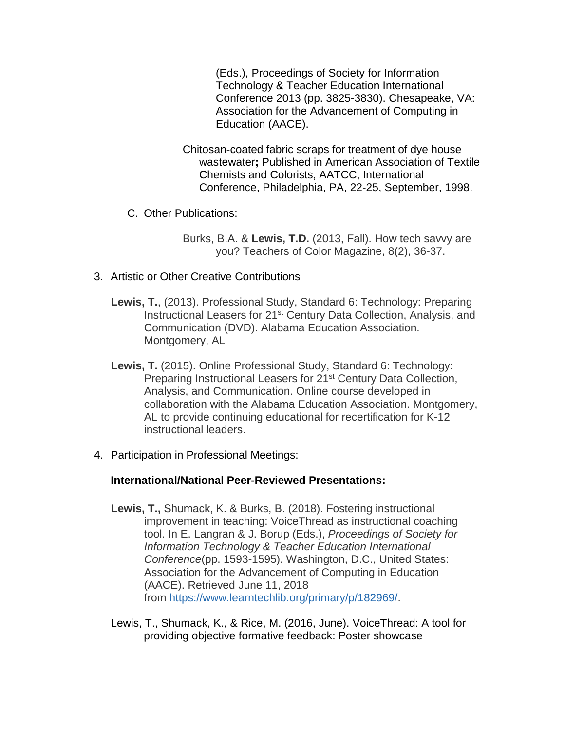(Eds.), Proceedings of Society for Information Technology & Teacher Education International Conference 2013 (pp. 3825-3830). Chesapeake, VA: Association for the Advancement of Computing in Education (AACE).

- Chitosan-coated fabric scraps for treatment of dye house wastewater**;** Published in American Association of Textile Chemists and Colorists, AATCC, International Conference, Philadelphia, PA, 22-25, September, 1998.
- C. Other Publications:

Burks, B.A. & **Lewis, T.D.** (2013, Fall). How tech savvy are you? Teachers of Color Magazine, 8(2), 36-37.

- 3. Artistic or Other Creative Contributions
	- **Lewis, T.**, (2013). Professional Study, Standard 6: Technology: Preparing Instructional Leasers for 21<sup>st</sup> Century Data Collection, Analysis, and Communication (DVD). Alabama Education Association. Montgomery, AL
	- **Lewis, T.** (2015). Online Professional Study, Standard 6: Technology: Preparing Instructional Leasers for 21<sup>st</sup> Century Data Collection, Analysis, and Communication. Online course developed in collaboration with the Alabama Education Association. Montgomery, AL to provide continuing educational for recertification for K-12 instructional leaders.
- 4. Participation in Professional Meetings:

#### **International/National Peer-Reviewed Presentations:**

- **Lewis, T.,** Shumack, K. & Burks, B. (2018). Fostering instructional improvement in teaching: VoiceThread as instructional coaching tool. In E. Langran & J. Borup (Eds.), *Proceedings of Society for Information Technology & Teacher Education International Conference*(pp. 1593-1595). Washington, D.C., United States: Association for the Advancement of Computing in Education (AACE). Retrieved June 11, 2018 from [https://www.learntechlib.org/primary/p/182969/.](https://www.learntechlib.org/primary/p/182969/)
- Lewis, T., Shumack, K., & Rice, M. (2016, June). VoiceThread: A tool for providing objective formative feedback: Poster showcase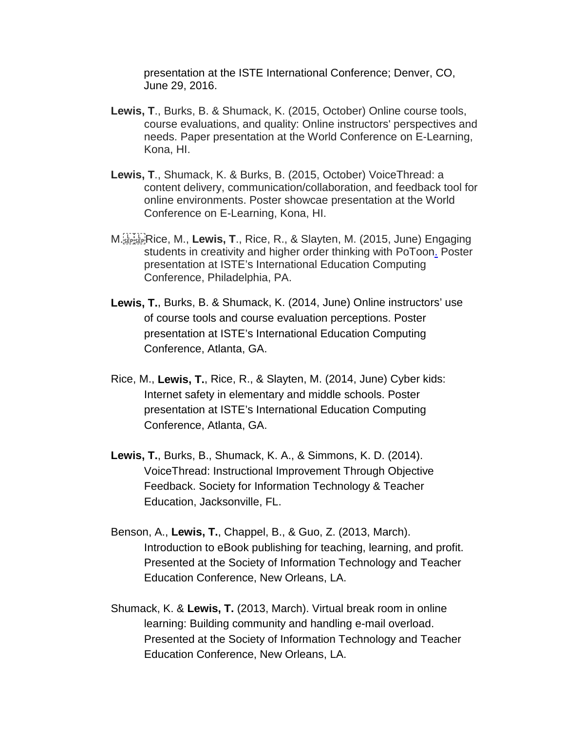presentation at the ISTE International Conference; Denver, CO, June 29, 2016.

- **Lewis, T**., Burks, B. & Shumack, K. (2015, October) Online course tools, course evaluations, and quality: Online instructors' perspectives and needs. Paper presentation at the World Conference on E-Learning, Kona, HI.
- **Lewis, T**., Shumack, K. & Burks, B. (2015, October) VoiceThread: a content delivery, communication/collaboration, and feedback tool for online environments. Poster showcae presentation at the World Conference on E-Learning, Kona, HI.
- M. Rice, M., **Lewis, T**., Rice, R., & Slayten, M. (2015, June) Engaging students in creativity and higher order thinking with PoToo[n.](http://college.livetext.com/folder/8590170/CkBWyQjR_ISTE_2014_Cyber_Kids_Presentation_Documentation.pdf) Poster presentation at ISTE's International Education Computing Conference, Philadelphia, PA.
- **Lewis, T.**, Burks, B. & Shumack, K. (2014, June) Online instructors' use of course tools and course evaluation perceptions. Poster presentation at ISTE's International Education Computing Conference, Atlanta, GA.
- Rice, M., **Lewis, T.**, Rice, R., & Slayten, M. (2014, June) Cyber kids: Internet safety in elementary and middle schools. Poster presentation at ISTE's International Education Computing Conference, Atlanta, GA.
- **Lewis, T.**, Burks, B., Shumack, K. A., & Simmons, K. D. (2014). VoiceThread: Instructional Improvement Through Objective Feedback. Society for Information Technology & Teacher Education, Jacksonville, FL.
- Benson, A., **Lewis, T.**, Chappel, B., & Guo, Z. (2013, March). Introduction to eBook publishing for teaching, learning, and profit. Presented at the Society of Information Technology and Teacher Education Conference, New Orleans, LA.
- Shumack, K. & **Lewis, T.** (2013, March). Virtual break room in online learning: Building community and handling e-mail overload. Presented at the Society of Information Technology and Teacher Education Conference, New Orleans, LA.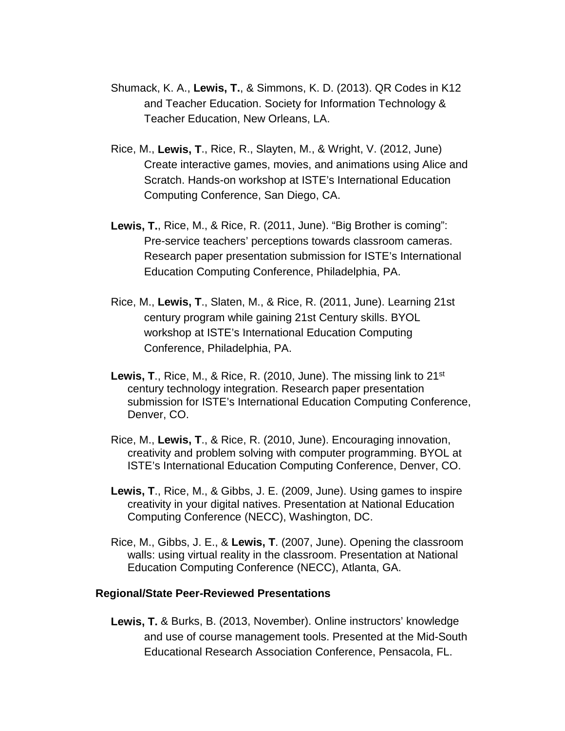- Shumack, K. A., **Lewis, T.**, & Simmons, K. D. (2013). QR Codes in K12 and Teacher Education. Society for Information Technology & Teacher Education, New Orleans, LA.
- Rice, M., **Lewis, T**., Rice, R., Slayten, M., & Wright, V. (2012, June) Create interactive games, movies, and animations using Alice and Scratch. Hands-on workshop at ISTE's International Education Computing Conference, San Diego, CA.
- **Lewis, T.**, Rice, M., & Rice, R. (2011, June). "Big Brother is coming": Pre-service teachers' perceptions towards classroom cameras. Research paper presentation submission for ISTE's International Education Computing Conference, Philadelphia, PA.
- Rice, M., **Lewis, T**., Slaten, M., & Rice, R. (2011, June). Learning 21st century program while gaining 21st Century skills. BYOL workshop at ISTE's International Education Computing Conference, Philadelphia, PA.
- **Lewis, T., Rice, M., & Rice, R. (2010, June). The missing link to 21<sup>st</sup>** century technology integration. Research paper presentation submission for ISTE's International Education Computing Conference, Denver, CO.
- Rice, M., **Lewis, T**., & Rice, R. (2010, June). Encouraging innovation, creativity and problem solving with computer programming. BYOL at ISTE's International Education Computing Conference, Denver, CO.
- **Lewis, T**., Rice, M., & Gibbs, J. E. (2009, June). Using games to inspire creativity in your digital natives. Presentation at National Education Computing Conference (NECC), Washington, DC.
- Rice, M., Gibbs, J. E., & **Lewis, T**. (2007, June). Opening the classroom walls: using virtual reality in the classroom. Presentation at National Education Computing Conference (NECC), Atlanta, GA.

#### **Regional/State Peer-Reviewed Presentations**

**Lewis, T.** & Burks, B. (2013, November). Online instructors' knowledge and use of course management tools. Presented at the Mid-South Educational Research Association Conference, Pensacola, FL.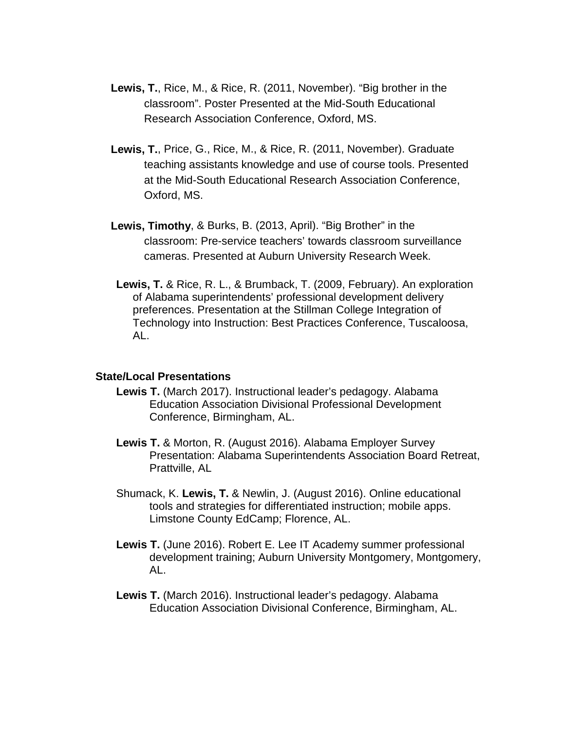- **Lewis, T.**, Rice, M., & Rice, R. (2011, November). "Big brother in the classroom". Poster Presented at the Mid-South Educational Research Association Conference, Oxford, MS.
- **Lewis, T.**, Price, G., Rice, M., & Rice, R. (2011, November). Graduate teaching assistants knowledge and use of course tools. Presented at the Mid-South Educational Research Association Conference, Oxford, MS.
- **Lewis, Timothy**, & Burks, B. (2013, April). "Big Brother" in the classroom: Pre-service teachers' towards classroom surveillance cameras. Presented at Auburn University Research Week.
- **Lewis, T.** & Rice, R. L., & Brumback, T. (2009, February). An exploration of Alabama superintendents' professional development delivery preferences. Presentation at the Stillman College Integration of Technology into Instruction: Best Practices Conference, Tuscaloosa, AL.

#### **State/Local Presentations**

- **Lewis T.** (March 2017). Instructional leader's pedagogy. Alabama Education Association Divisional Professional Development Conference, Birmingham, AL.
- **Lewis T.** & Morton, R. (August 2016). Alabama Employer Survey Presentation: Alabama Superintendents Association Board Retreat, Prattville, AL
- Shumack, K. **Lewis, T.** & Newlin, J. (August 2016). Online educational tools and strategies for differentiated instruction; mobile apps. Limstone County EdCamp; Florence, AL.
- **Lewis T.** (June 2016). Robert E. Lee IT Academy summer professional development training; Auburn University Montgomery, Montgomery, AL.
- **Lewis T.** (March 2016). Instructional leader's pedagogy. Alabama Education Association Divisional Conference, Birmingham, AL.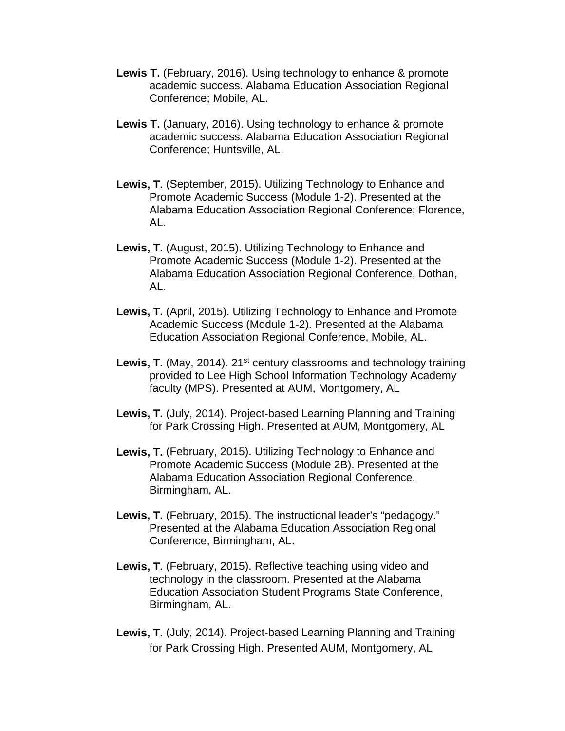- **Lewis T.** (February, 2016). Using technology to enhance & promote academic success. Alabama Education Association Regional Conference; Mobile, AL.
- **Lewis T.** (January, 2016). Using technology to enhance & promote academic success. Alabama Education Association Regional Conference; Huntsville, AL.
- **Lewis, T.** (September, 2015). Utilizing Technology to Enhance and Promote Academic Success (Module 1-2). Presented at the Alabama Education Association Regional Conference; Florence, AL.
- **Lewis, T.** (August, 2015). Utilizing Technology to Enhance and Promote Academic Success (Module 1-2). Presented at the Alabama Education Association Regional Conference, Dothan, AL.
- **Lewis, T.** (April, 2015). Utilizing Technology to Enhance and Promote Academic Success (Module 1-2). Presented at the Alabama Education Association Regional Conference, Mobile, AL.
- Lewis, T. (May, 2014). 21<sup>st</sup> century classrooms and technology training provided to Lee High School Information Technology Academy faculty (MPS). Presented at AUM, Montgomery, AL
- **Lewis, T.** (July, 2014). Project-based Learning Planning and Training for Park Crossing High. Presented at AUM, Montgomery, AL
- **Lewis, T.** (February, 2015). Utilizing Technology to Enhance and Promote Academic Success (Module 2B). Presented at the Alabama Education Association Regional Conference, Birmingham, AL.
- **Lewis, T.** (February, 2015). The instructional leader's "pedagogy." Presented at the Alabama Education Association Regional Conference, Birmingham, AL.
- **Lewis, T.** (February, 2015). Reflective teaching using video and technology in the classroom. Presented at the Alabama Education Association Student Programs State Conference, Birmingham, AL.
- **Lewis, T.** (July, 2014). Project-based Learning Planning and Training for Park Crossing High. Presented AUM, Montgomery, AL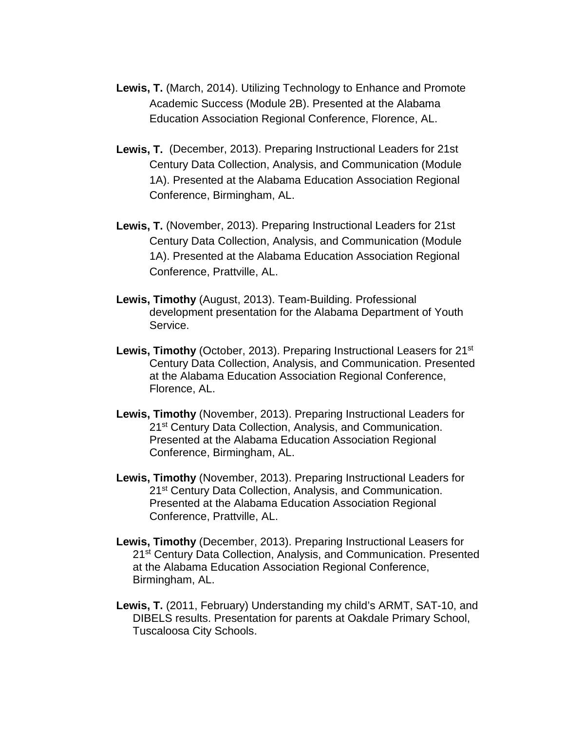- **Lewis, T.** (March, 2014). Utilizing Technology to Enhance and Promote Academic Success (Module 2B). Presented at the Alabama Education Association Regional Conference, Florence, AL.
- **Lewis, T.** (December, 2013). Preparing Instructional Leaders for 21st Century Data Collection, Analysis, and Communication (Module 1A). Presented at the Alabama Education Association Regional Conference, Birmingham, AL.
- **Lewis, T.** (November, 2013). Preparing Instructional Leaders for 21st Century Data Collection, Analysis, and Communication (Module 1A). Presented at the Alabama Education Association Regional Conference, Prattville, AL.
- **Lewis, Timothy** (August, 2013). Team-Building. Professional development presentation for the Alabama Department of Youth Service.
- Lewis, Timothy (October, 2013). Preparing Instructional Leasers for 21<sup>st</sup> Century Data Collection, Analysis, and Communication. Presented at the Alabama Education Association Regional Conference, Florence, AL.
- **Lewis, Timothy** (November, 2013). Preparing Instructional Leaders for 21<sup>st</sup> Century Data Collection, Analysis, and Communication. Presented at the Alabama Education Association Regional Conference, Birmingham, AL.
- **Lewis, Timothy** (November, 2013). Preparing Instructional Leaders for 21<sup>st</sup> Century Data Collection, Analysis, and Communication. Presented at the Alabama Education Association Regional Conference, Prattville, AL.
- **Lewis, Timothy** (December, 2013). Preparing Instructional Leasers for 21<sup>st</sup> Century Data Collection, Analysis, and Communication. Presented at the Alabama Education Association Regional Conference, Birmingham, AL.
- **Lewis, T.** (2011, February) Understanding my child's ARMT, SAT-10, and DIBELS results. Presentation for parents at Oakdale Primary School, Tuscaloosa City Schools.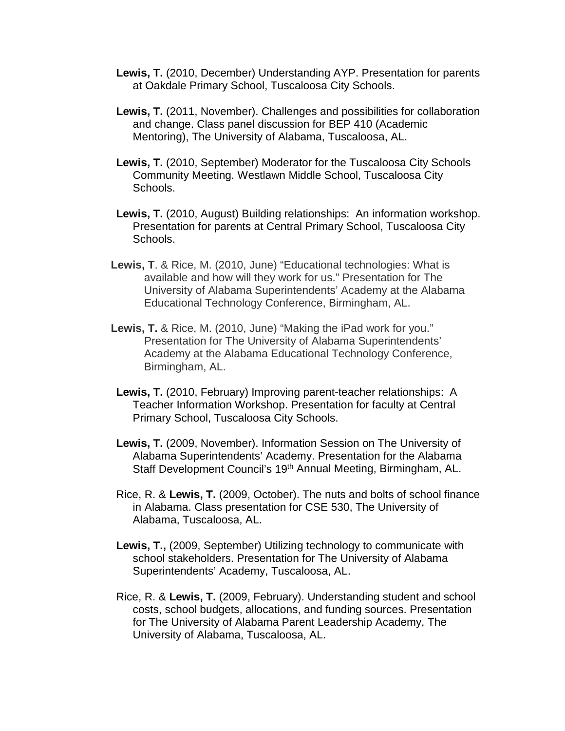- **Lewis, T.** (2010, December) Understanding AYP. Presentation for parents at Oakdale Primary School, Tuscaloosa City Schools.
- **Lewis, T.** (2011, November). Challenges and possibilities for collaboration and change. Class panel discussion for BEP 410 (Academic Mentoring), The University of Alabama, Tuscaloosa, AL.
- **Lewis, T.** (2010, September) Moderator for the Tuscaloosa City Schools Community Meeting. Westlawn Middle School, Tuscaloosa City Schools.
- **Lewis, T.** (2010, August) Building relationships: An information workshop. Presentation for parents at Central Primary School, Tuscaloosa City Schools.
- **Lewis, T**. & Rice, M. (2010, June) "Educational technologies: What is available and how will they work for us." Presentation for The University of Alabama Superintendents' Academy at the Alabama Educational Technology Conference, Birmingham, AL.
- **Lewis, T.** & Rice, M. (2010, June) "Making the iPad work for you." Presentation for The University of Alabama Superintendents' Academy at the Alabama Educational Technology Conference, Birmingham, AL.
- **Lewis, T.** (2010, February) Improving parent-teacher relationships: A Teacher Information Workshop. Presentation for faculty at Central Primary School, Tuscaloosa City Schools.
- **Lewis, T.** (2009, November). Information Session on The University of Alabama Superintendents' Academy. Presentation for the Alabama Staff Development Council's 19<sup>th</sup> Annual Meeting, Birmingham, AL.
- Rice, R. & **Lewis, T.** (2009, October). The nuts and bolts of school finance in Alabama. Class presentation for CSE 530, The University of Alabama, Tuscaloosa, AL.
- **Lewis, T.,** (2009, September) Utilizing technology to communicate with school stakeholders. Presentation for The University of Alabama Superintendents' Academy, Tuscaloosa, AL.
- Rice, R. & **Lewis, T.** (2009, February). Understanding student and school costs, school budgets, allocations, and funding sources. Presentation for The University of Alabama Parent Leadership Academy, The University of Alabama, Tuscaloosa, AL.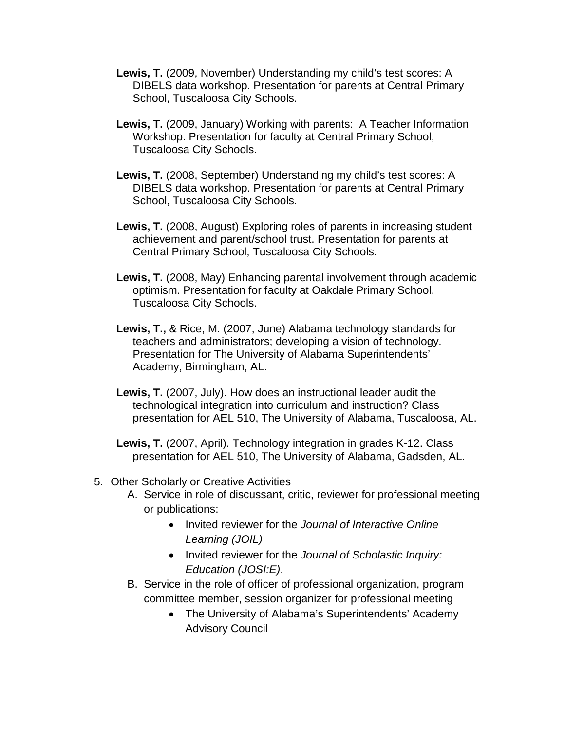- **Lewis, T.** (2009, November) Understanding my child's test scores: A DIBELS data workshop. Presentation for parents at Central Primary School, Tuscaloosa City Schools.
- **Lewis, T.** (2009, January) Working with parents: A Teacher Information Workshop. Presentation for faculty at Central Primary School, Tuscaloosa City Schools.
- **Lewis, T.** (2008, September) Understanding my child's test scores: A DIBELS data workshop. Presentation for parents at Central Primary School, Tuscaloosa City Schools.
- **Lewis, T.** (2008, August) Exploring roles of parents in increasing student achievement and parent/school trust. Presentation for parents at Central Primary School, Tuscaloosa City Schools.
- **Lewis, T.** (2008, May) Enhancing parental involvement through academic optimism. Presentation for faculty at Oakdale Primary School, Tuscaloosa City Schools.
- **Lewis, T.,** & Rice, M. (2007, June) Alabama technology standards for teachers and administrators; developing a vision of technology. Presentation for The University of Alabama Superintendents' Academy, Birmingham, AL.
- **Lewis, T.** (2007, July). How does an instructional leader audit the technological integration into curriculum and instruction? Class presentation for AEL 510, The University of Alabama, Tuscaloosa, AL.
- **Lewis, T.** (2007, April). Technology integration in grades K-12. Class presentation for AEL 510, The University of Alabama, Gadsden, AL.
- 5. Other Scholarly or Creative Activities
	- A. Service in role of discussant, critic, reviewer for professional meeting or publications:
		- Invited reviewer for the *Journal of Interactive Online Learning (JOIL)*
		- Invited reviewer for the *Journal of Scholastic Inquiry: Education (JOSI:E)*.
	- B. Service in the role of officer of professional organization, program committee member, session organizer for professional meeting
		- The University of Alabama's Superintendents' Academy Advisory Council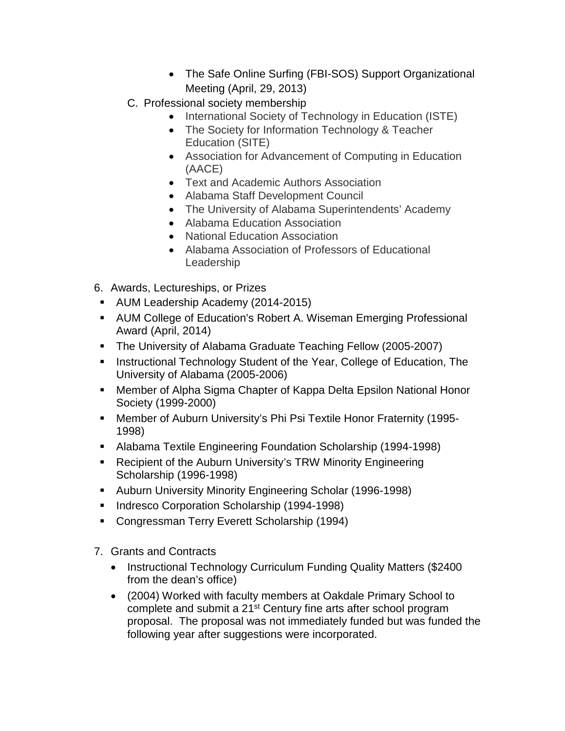- The Safe Online Surfing (FBI-SOS) Support Organizational Meeting (April, 29, 2013)
- C. Professional society membership
	- International Society of Technology in Education (ISTE)
	- The Society for Information Technology & Teacher Education (SITE)
	- Association for Advancement of Computing in Education (AACE)
	- Text and Academic Authors Association
	- Alabama Staff Development Council
	- The University of Alabama Superintendents' Academy
	- Alabama Education Association
	- National Education Association
	- Alabama Association of Professors of Educational Leadership
- 6. Awards, Lectureships, or Prizes
- AUM Leadership Academy (2014-2015)
- AUM College of Education's Robert A. Wiseman Emerging Professional Award (April, 2014)
- **The University of Alabama Graduate Teaching Fellow (2005-2007)**
- **Instructional Technology Student of the Year, College of Education, The** University of Alabama (2005-2006)
- Member of Alpha Sigma Chapter of Kappa Delta Epsilon National Honor Society (1999-2000)
- Member of Auburn University's Phi Psi Textile Honor Fraternity (1995- 1998)
- Alabama Textile Engineering Foundation Scholarship (1994-1998)
- Recipient of the Auburn University's TRW Minority Engineering Scholarship (1996-1998)
- Auburn University Minority Engineering Scholar (1996-1998)
- **Indresco Corporation Scholarship (1994-1998)**
- Congressman Terry Everett Scholarship (1994)
- 7. Grants and Contracts
	- Instructional Technology Curriculum Funding Quality Matters (\$2400) from the dean's office)
	- (2004) Worked with faculty members at Oakdale Primary School to complete and submit a 21<sup>st</sup> Century fine arts after school program proposal. The proposal was not immediately funded but was funded the following year after suggestions were incorporated.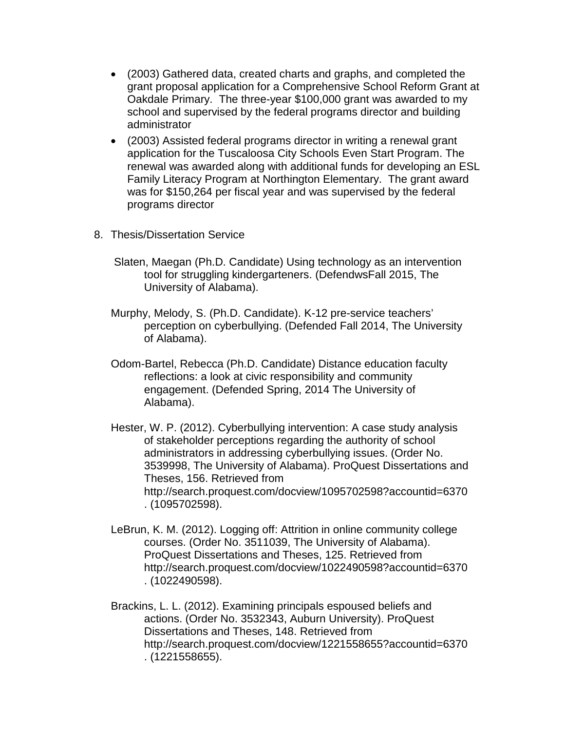- (2003) Gathered data, created charts and graphs, and completed the grant proposal application for a Comprehensive School Reform Grant at Oakdale Primary. The three-year \$100,000 grant was awarded to my school and supervised by the federal programs director and building administrator
- (2003) Assisted federal programs director in writing a renewal grant application for the Tuscaloosa City Schools Even Start Program. The renewal was awarded along with additional funds for developing an ESL Family Literacy Program at Northington Elementary. The grant award was for \$150,264 per fiscal year and was supervised by the federal programs director
- 8. Thesis/Dissertation Service
	- Slaten, Maegan (Ph.D. Candidate) Using technology as an intervention tool for struggling kindergarteners. (DefendwsFall 2015, The University of Alabama).
	- Murphy, Melody, S. (Ph.D. Candidate). K-12 pre-service teachers' perception on cyberbullying. (Defended Fall 2014, The University of Alabama).
	- Odom-Bartel, Rebecca (Ph.D. Candidate) Distance education faculty reflections: a look at civic responsibility and community engagement. (Defended Spring, 2014 The University of Alabama).
	- Hester, W. P. (2012). Cyberbullying intervention: A case study analysis of stakeholder perceptions regarding the authority of school administrators in addressing cyberbullying issues. (Order No. 3539998, The University of Alabama). ProQuest Dissertations and Theses, 156. Retrieved from http://search.proquest.com/docview/1095702598?accountid=6370 . (1095702598).
	- LeBrun, K. M. (2012). Logging off: Attrition in online community college courses. (Order No. 3511039, The University of Alabama). ProQuest Dissertations and Theses, 125. Retrieved from http://search.proquest.com/docview/1022490598?accountid=6370 . (1022490598).
	- Brackins, L. L. (2012). Examining principals espoused beliefs and actions. (Order No. 3532343, Auburn University). ProQuest Dissertations and Theses, 148. Retrieved from http://search.proquest.com/docview/1221558655?accountid=6370 . (1221558655).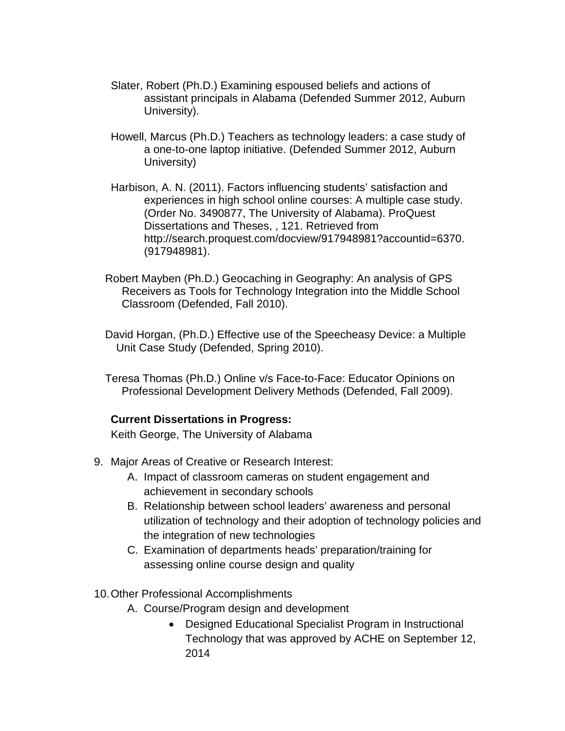- Slater, Robert (Ph.D.) Examining espoused beliefs and actions of assistant principals in Alabama (Defended Summer 2012, Auburn University).
- Howell, Marcus (Ph.D.) Teachers as technology leaders: a case study of a one-to-one laptop initiative. (Defended Summer 2012, Auburn University)
- Harbison, A. N. (2011). Factors influencing students' satisfaction and experiences in high school online courses: A multiple case study. (Order No. 3490877, The University of Alabama). ProQuest Dissertations and Theses, , 121. Retrieved from http://search.proquest.com/docview/917948981?accountid=6370. (917948981).
- Robert Mayben (Ph.D.) Geocaching in Geography: An analysis of GPS Receivers as Tools for Technology Integration into the Middle School Classroom (Defended, Fall 2010).
- David Horgan, (Ph.D.) Effective use of the Speecheasy Device: a Multiple Unit Case Study (Defended, Spring 2010).
- Teresa Thomas (Ph.D.) Online v/s Face-to-Face: Educator Opinions on Professional Development Delivery Methods (Defended, Fall 2009).

#### **Current Dissertations in Progress:**

Keith George, The University of Alabama

- 9. Major Areas of Creative or Research Interest:
	- A. Impact of classroom cameras on student engagement and achievement in secondary schools
	- B. Relationship between school leaders' awareness and personal utilization of technology and their adoption of technology policies and the integration of new technologies
	- C. Examination of departments heads' preparation/training for assessing online course design and quality

#### 10.Other Professional Accomplishments

- A. Course/Program design and development
	- Designed Educational Specialist Program in Instructional Technology that was approved by ACHE on September 12, 2014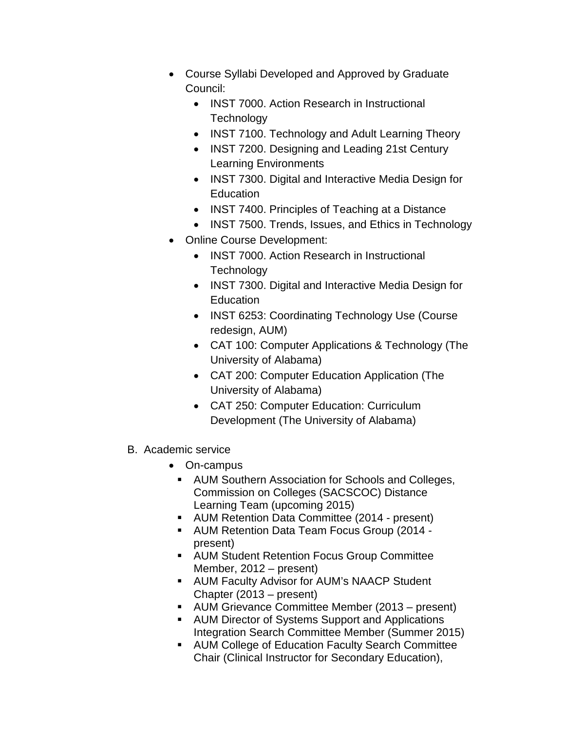- Course Syllabi Developed and Approved by Graduate Council:
	- INST 7000. Action Research in Instructional **Technology**
	- INST 7100. Technology and Adult Learning Theory
	- INST 7200. Designing and Leading 21st Century Learning Environments
	- INST 7300. Digital and Interactive Media Design for **Education**
	- INST 7400. Principles of Teaching at a Distance
	- INST 7500. Trends, Issues, and Ethics in Technology
- Online Course Development:
	- INST 7000. Action Research in Instructional **Technology**
	- INST 7300. Digital and Interactive Media Design for **Education**
	- INST 6253: Coordinating Technology Use (Course redesign, AUM)
	- CAT 100: Computer Applications & Technology (The University of Alabama)
	- CAT 200: Computer Education Application (The University of Alabama)
	- CAT 250: Computer Education: Curriculum Development (The University of Alabama)
- B. Academic service
	- On-campus
		- AUM Southern Association for Schools and Colleges, Commission on Colleges (SACSCOC) Distance Learning Team (upcoming 2015)
	- AUM Retention Data Committee (2014 present)
	- AUM Retention Data Team Focus Group (2014 present)
	- **AUM Student Retention Focus Group Committee** Member, 2012 – present)
	- **AUM Faculty Advisor for AUM's NAACP Student** Chapter (2013 – present)
	- AUM Grievance Committee Member (2013 present)
	- **AUM Director of Systems Support and Applications** Integration Search Committee Member (Summer 2015)
	- **AUM College of Education Faculty Search Committee** Chair (Clinical Instructor for Secondary Education),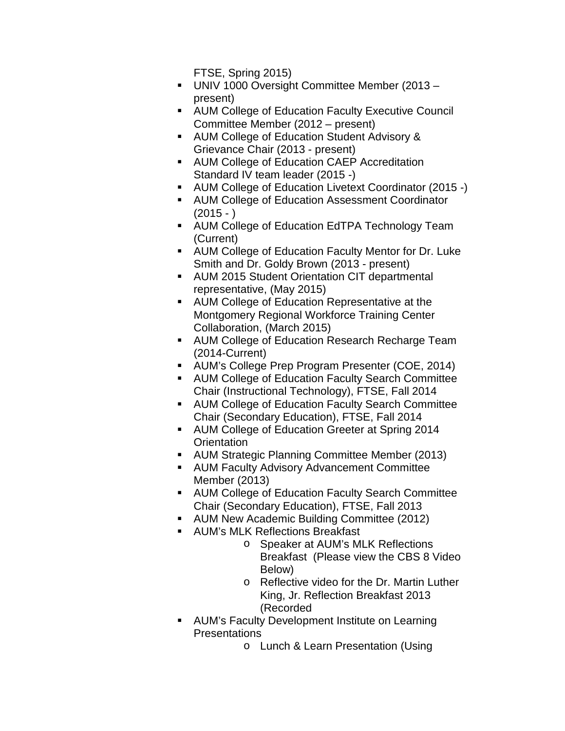FTSE, Spring 2015)

- UNIV 1000 Oversight Committee Member (2013 present)
- AUM College of Education Faculty Executive Council Committee Member (2012 – present)
- **AUM College of Education Student Advisory &** Grievance Chair (2013 - present)
- **AUM College of Education CAEP Accreditation** Standard IV team leader (2015 -)
- AUM College of Education Livetext Coordinator (2015 -)
- AUM College of Education Assessment Coordinator  $(2015 - )$
- AUM College of Education EdTPA Technology Team (Current)
- AUM College of Education Faculty Mentor for Dr. Luke Smith and Dr. Goldy Brown (2013 - present)
- AUM 2015 Student Orientation CIT departmental representative, (May 2015)
- AUM College of Education Representative at the Montgomery Regional Workforce Training Center Collaboration, (March 2015)
- **AUM College of Education Research Recharge Team** (2014-Current)
- AUM's College Prep Program Presenter (COE, 2014)
- AUM College of Education Faculty Search Committee Chair (Instructional Technology), FTSE, Fall 2014
- **AUM College of Education Faculty Search Committee** Chair (Secondary Education), FTSE, Fall 2014
- AUM College of Education Greeter at Spring 2014 **Orientation**
- AUM Strategic Planning Committee Member (2013)
- AUM Faculty Advisory Advancement Committee Member (2013)
- AUM College of Education Faculty Search Committee Chair (Secondary Education), FTSE, Fall 2013
- AUM New Academic Building Committee (2012)
- AUM's MLK Reflections Breakfast
	- o Speaker at AUM's MLK Reflections Breakfast (Please view the CBS 8 Video Below)
	- o Reflective video for the Dr. Martin Luther King, Jr. Reflection Breakfast 2013 (Recorded
- **AUM's Faculty Development Institute on Learning** Presentations
	- o Lunch & Learn Presentation (Using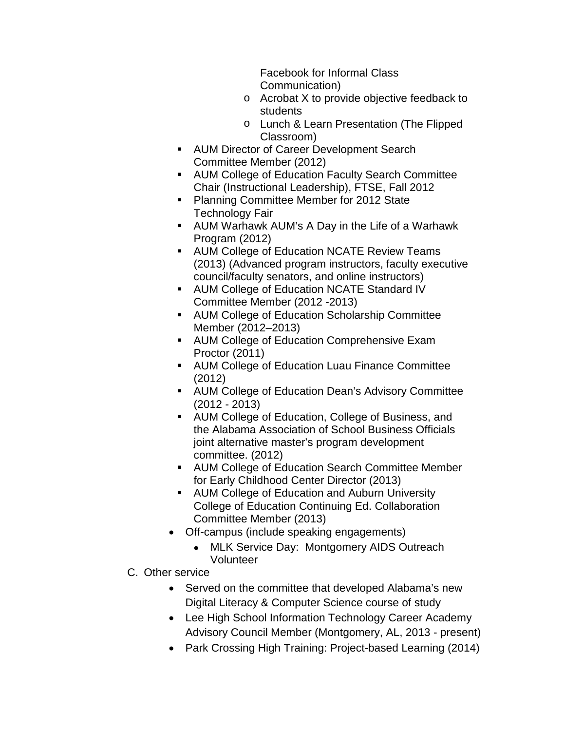Facebook for Informal Class Communication)

- o Acrobat X to provide objective feedback to students
- o Lunch & Learn Presentation (The Flipped Classroom)
- **AUM Director of Career Development Search** Committee Member (2012)
- **AUM College of Education Faculty Search Committee** Chair (Instructional Leadership), FTSE, Fall 2012
- **Planning Committee Member for 2012 State** Technology Fair
- AUM Warhawk AUM's A Day in the Life of a Warhawk Program (2012)
- **AUM College of Education NCATE Review Teams** (2013) (Advanced program instructors, faculty executive council/faculty senators, and online instructors)
- **AUM College of Education NCATE Standard IV** Committee Member (2012 -2013)
- **AUM College of Education Scholarship Committee** Member (2012–2013)
- **AUM College of Education Comprehensive Exam** Proctor (2011)
- AUM College of Education Luau Finance Committee (2012)
- AUM College of Education Dean's Advisory Committee (2012 - 2013)
- AUM College of Education, College of Business, and the Alabama Association of School Business Officials joint alternative master's program development committee. (2012)
- **AUM College of Education Search Committee Member** for Early Childhood Center Director (2013)
- **AUM College of Education and Auburn University** College of Education Continuing Ed. Collaboration Committee Member (2013)
- Off-campus (include speaking engagements)
	- MLK Service Day: Montgomery AIDS Outreach Volunteer
- C. Other service
	- Served on the committee that developed Alabama's new Digital Literacy & Computer Science course of study
	- Lee High School Information Technology Career Academy Advisory Council Member (Montgomery, AL, 2013 - present)
	- Park Crossing High Training: Project-based Learning (2014)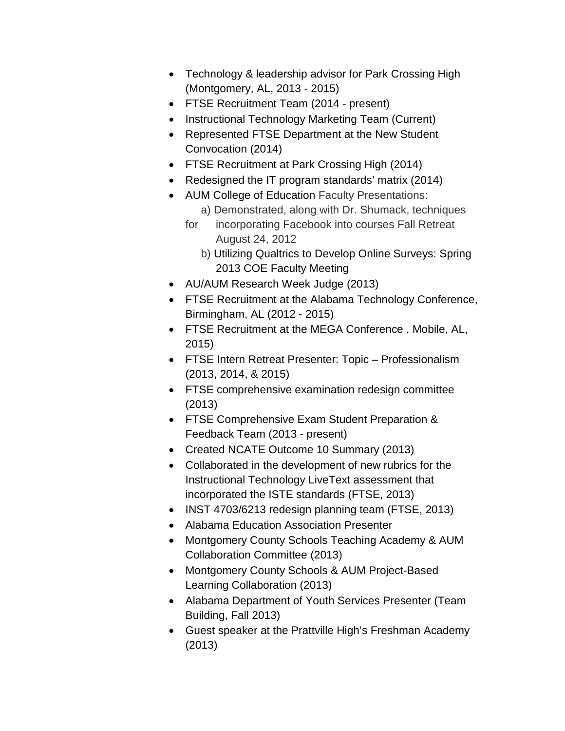- Technology & leadership advisor for Park Crossing High (Montgomery, AL, 2013 - 2015)
- FTSE Recruitment Team (2014 present)
- Instructional Technology Marketing Team (Current)
- Represented FTSE Department at the New Student Convocation (2014)
- FTSE Recruitment at Park Crossing High (2014)
- Redesigned the IT program standards' matrix (2014)
- AUM College of Education Faculty Presentations: a) Demonstrated, along with Dr. Shumack, techniques
	- for incorporating Facebook into courses Fall Retreat August 24, 2012
		- b) Utilizing Qualtrics to Develop Online Surveys: Spring 2013 COE Faculty Meeting
- AU/AUM Research Week Judge (2013)
- FTSE Recruitment at the Alabama Technology Conference, Birmingham, AL (2012 - 2015)
- FTSE Recruitment at the MEGA Conference , Mobile, AL, 2015)
- FTSE Intern Retreat Presenter: Topic Professionalism (2013, 2014, & 2015)
- FTSE comprehensive examination redesign committee (2013)
- FTSE Comprehensive Exam Student Preparation & Feedback Team (2013 - present)
- Created NCATE Outcome 10 Summary (2013)
- Collaborated in the development of new rubrics for the Instructional Technology LiveText assessment that incorporated the ISTE standards (FTSE, 2013)
- INST 4703/6213 redesign planning team (FTSE, 2013)
- Alabama Education Association Presenter
- Montgomery County Schools Teaching Academy & AUM Collaboration Committee (2013)
- Montgomery County Schools & AUM Project-Based Learning Collaboration (2013)
- Alabama Department of Youth Services Presenter (Team Building, Fall 2013)
- Guest speaker at the Prattville High's Freshman Academy (2013)